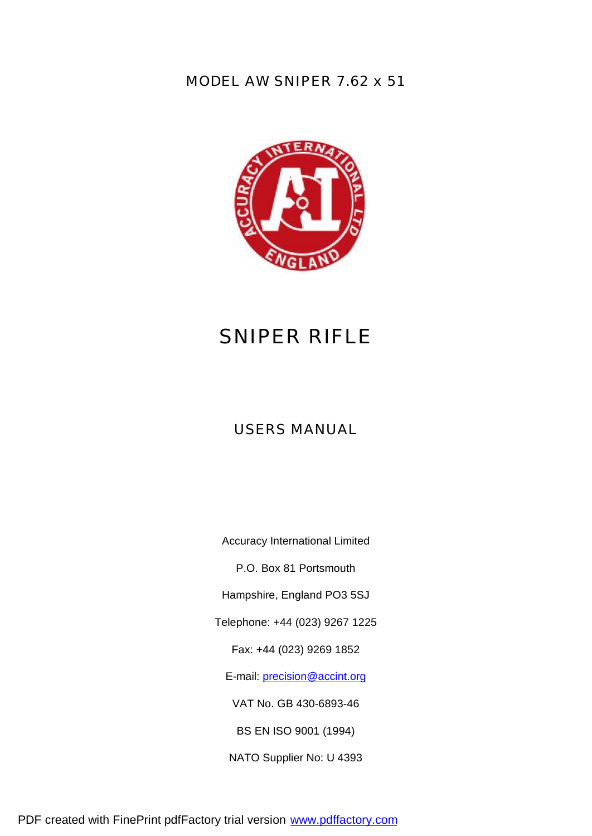*MODEL AW SNIPER 7.62 x 51*



# *SNIPER RIFLE*

## *USERS MANUAL*

Accuracy International Limited

P.O. Box 81 Portsmouth

Hampshire, England PO3 5SJ

Telephone: +44 (023) 9267 1225

Fax: +44 (023) 9269 1852

E-mail: precision@accint.org

VAT No. GB 430-6893-46

BS EN ISO 9001 (1994)

NATO Supplier No: U 4393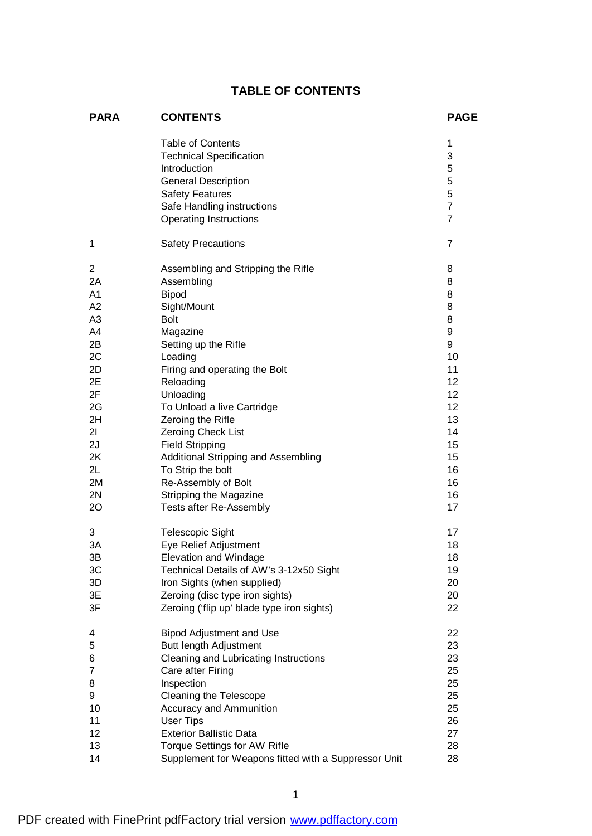## **TABLE OF CONTENTS**

| <b>PARA</b>    | <b>CONTENTS</b>                                                                                                                                                                                   | <b>PAGE</b>                                               |
|----------------|---------------------------------------------------------------------------------------------------------------------------------------------------------------------------------------------------|-----------------------------------------------------------|
|                | <b>Table of Contents</b><br><b>Technical Specification</b><br>Introduction<br><b>General Description</b><br><b>Safety Features</b><br>Safe Handling instructions<br><b>Operating Instructions</b> | 1<br>3<br>5<br>5<br>5<br>$\overline{7}$<br>$\overline{7}$ |
| 1              | <b>Safety Precautions</b>                                                                                                                                                                         | 7                                                         |
| 2              | Assembling and Stripping the Rifle                                                                                                                                                                | 8                                                         |
| 2A             | Assembling                                                                                                                                                                                        | 8                                                         |
| A <sub>1</sub> | <b>Bipod</b>                                                                                                                                                                                      | 8                                                         |
| A2             | Sight/Mount                                                                                                                                                                                       | 8                                                         |
| A <sub>3</sub> | <b>Bolt</b>                                                                                                                                                                                       | 8                                                         |
| A4             | Magazine                                                                                                                                                                                          | 9                                                         |
| 2B             | Setting up the Rifle                                                                                                                                                                              | 9                                                         |
| 2C             | Loading                                                                                                                                                                                           | 10                                                        |
| 2D             | Firing and operating the Bolt                                                                                                                                                                     | 11                                                        |
| 2E             | Reloading                                                                                                                                                                                         | 12                                                        |
| 2F             | Unloading                                                                                                                                                                                         | 12                                                        |
| 2G             | To Unload a live Cartridge                                                                                                                                                                        | 12                                                        |
| 2H             | Zeroing the Rifle                                                                                                                                                                                 | 13                                                        |
| 21             | Zeroing Check List                                                                                                                                                                                | 14                                                        |
| 2J             | <b>Field Stripping</b>                                                                                                                                                                            | 15                                                        |
| 2K             | Additional Stripping and Assembling                                                                                                                                                               | 15                                                        |
| 2L             | To Strip the bolt                                                                                                                                                                                 | 16                                                        |
| 2M             | Re-Assembly of Bolt                                                                                                                                                                               | 16                                                        |
| 2N             | Stripping the Magazine                                                                                                                                                                            | 16                                                        |
| 20             | Tests after Re-Assembly                                                                                                                                                                           | 17                                                        |
| 3              | <b>Telescopic Sight</b>                                                                                                                                                                           | 17                                                        |
| 3A             | Eye Relief Adjustment                                                                                                                                                                             | 18                                                        |
| 3B             | <b>Elevation and Windage</b>                                                                                                                                                                      | 18                                                        |
| 3C             | Technical Details of AW's 3-12x50 Sight                                                                                                                                                           | 19                                                        |
| 3D             | Iron Sights (when supplied)                                                                                                                                                                       | 20                                                        |
| 3E             | Zeroing (disc type iron sights)                                                                                                                                                                   | 20                                                        |
| 3F             | Zeroing ('flip up' blade type iron sights)                                                                                                                                                        | 22                                                        |
| 4              | <b>Bipod Adjustment and Use</b>                                                                                                                                                                   | 22                                                        |
| 5              | Butt length Adjustment                                                                                                                                                                            | 23                                                        |
| 6              | Cleaning and Lubricating Instructions                                                                                                                                                             | 23                                                        |
| 7              | Care after Firing                                                                                                                                                                                 | 25                                                        |
| 8              | Inspection                                                                                                                                                                                        | 25                                                        |
| 9              | Cleaning the Telescope                                                                                                                                                                            | 25                                                        |
| 10             | Accuracy and Ammunition                                                                                                                                                                           | 25                                                        |
| 11             | <b>User Tips</b>                                                                                                                                                                                  | 26                                                        |
| 12             | <b>Exterior Ballistic Data</b>                                                                                                                                                                    | 27                                                        |
| 13             | <b>Torque Settings for AW Rifle</b>                                                                                                                                                               | 28                                                        |
| 14             | Supplement for Weapons fitted with a Suppressor Unit                                                                                                                                              | 28                                                        |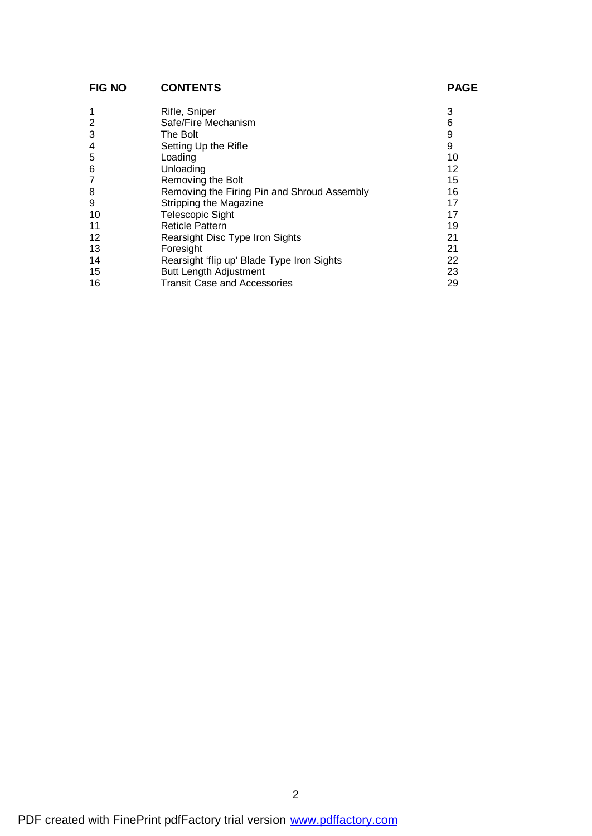## **FIG NO CONTENTS PAGE**

| 1  | Rifle, Sniper                               | 3  |
|----|---------------------------------------------|----|
| 2  | Safe/Fire Mechanism                         | 6  |
| 3  | The Bolt                                    | 9  |
| 4  | Setting Up the Rifle                        | 9  |
| 5  | Loading                                     | 10 |
| 6  | Unloading                                   | 12 |
| 7  | Removing the Bolt                           | 15 |
| 8  | Removing the Firing Pin and Shroud Assembly | 16 |
| 9  | Stripping the Magazine                      | 17 |
| 10 | <b>Telescopic Sight</b>                     | 17 |
| 11 | <b>Reticle Pattern</b>                      | 19 |
| 12 | Rearsight Disc Type Iron Sights             | 21 |
| 13 | Foresight                                   | 21 |
| 14 | Rearsight 'flip up' Blade Type Iron Sights  | 22 |
| 15 | <b>Butt Length Adjustment</b>               | 23 |
| 16 | <b>Transit Case and Accessories</b>         | 29 |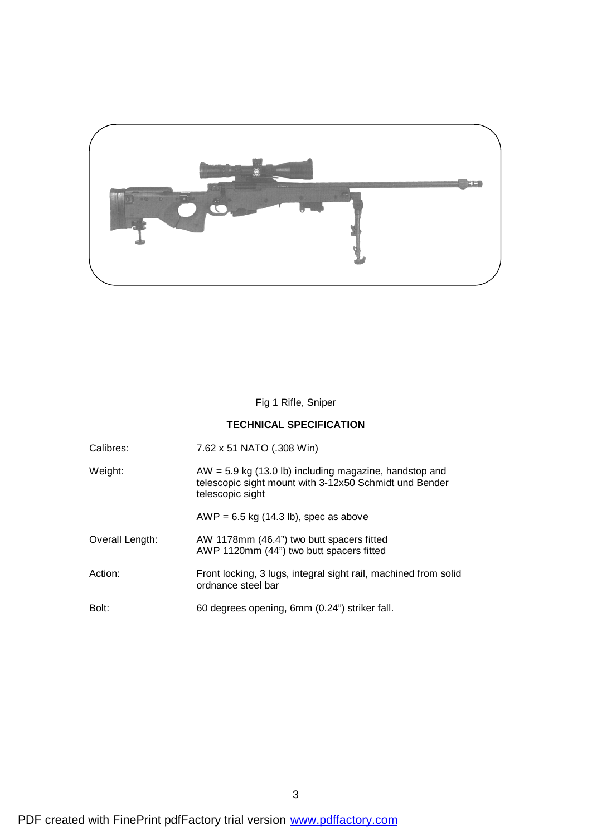

Fig 1 Rifle, Sniper

### **TECHNICAL SPECIFICATION**

| Calibres: | 7.62 x 51 NATO (.308 Win) |
|-----------|---------------------------|
|           |                           |

| Weight: | $AW = 5.9$ kg (13.0 lb) including magazine, handstop and |
|---------|----------------------------------------------------------|
|         | telescopic sight mount with 3-12x50 Schmidt und Bender   |
|         | telescopic sight                                         |

 $AWP = 6.5$  kg (14.3 lb), spec as above

- Overall Length: AW 1178mm (46.4") two butt spacers fitted AWP 1120mm (44") two butt spacers fitted
- Action: Front locking, 3 lugs, integral sight rail, machined from solid ordnance steel bar
- Bolt: 60 degrees opening, 6mm (0.24") striker fall.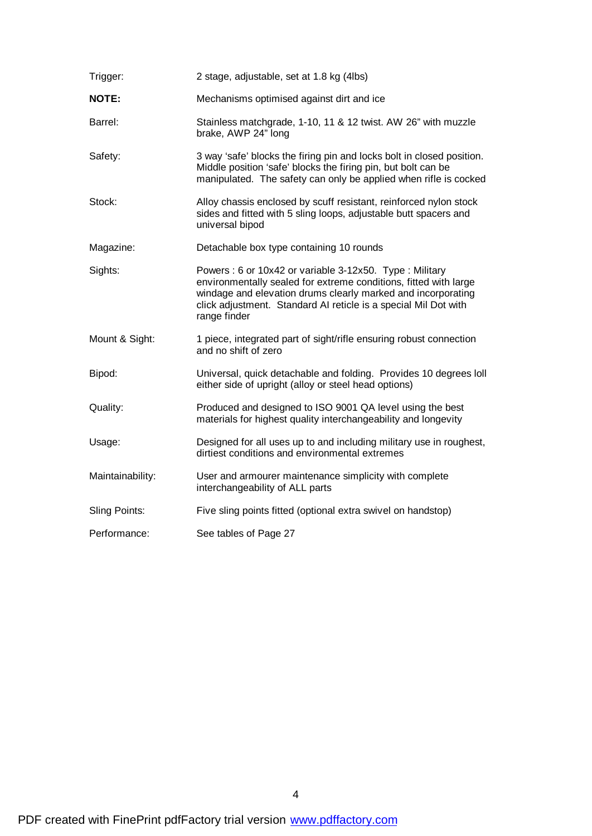| Trigger:         | 2 stage, adjustable, set at 1.8 kg (4lbs)                                                                                                                                                                                                                                     |
|------------------|-------------------------------------------------------------------------------------------------------------------------------------------------------------------------------------------------------------------------------------------------------------------------------|
| <b>NOTE:</b>     | Mechanisms optimised against dirt and ice                                                                                                                                                                                                                                     |
| Barrel:          | Stainless matchgrade, 1-10, 11 & 12 twist. AW 26" with muzzle<br>brake, AWP 24" long                                                                                                                                                                                          |
| Safety:          | 3 way 'safe' blocks the firing pin and locks bolt in closed position.<br>Middle position 'safe' blocks the firing pin, but bolt can be<br>manipulated. The safety can only be applied when rifle is cocked                                                                    |
| Stock:           | Alloy chassis enclosed by scuff resistant, reinforced nylon stock<br>sides and fitted with 5 sling loops, adjustable butt spacers and<br>universal bipod                                                                                                                      |
| Magazine:        | Detachable box type containing 10 rounds                                                                                                                                                                                                                                      |
| Sights:          | Powers: 6 or 10x42 or variable 3-12x50. Type: Military<br>environmentally sealed for extreme conditions, fitted with large<br>windage and elevation drums clearly marked and incorporating<br>click adjustment. Standard AI reticle is a special Mil Dot with<br>range finder |
| Mount & Sight:   | 1 piece, integrated part of sight/rifle ensuring robust connection<br>and no shift of zero                                                                                                                                                                                    |
| Bipod:           | Universal, quick detachable and folding. Provides 10 degrees loll<br>either side of upright (alloy or steel head options)                                                                                                                                                     |
| Quality:         | Produced and designed to ISO 9001 QA level using the best<br>materials for highest quality interchangeability and longevity                                                                                                                                                   |
| Usage:           | Designed for all uses up to and including military use in roughest,<br>dirtiest conditions and environmental extremes                                                                                                                                                         |
| Maintainability: | User and armourer maintenance simplicity with complete<br>interchangeability of ALL parts                                                                                                                                                                                     |
| Sling Points:    | Five sling points fitted (optional extra swivel on handstop)                                                                                                                                                                                                                  |
| Performance:     | See tables of Page 27                                                                                                                                                                                                                                                         |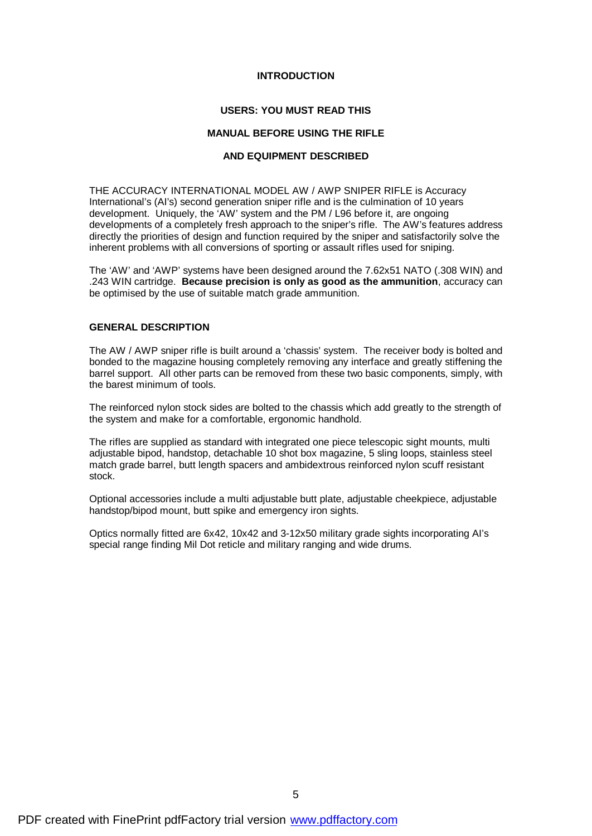#### **INTRODUCTION**

#### **USERS: YOU MUST READ THIS**

#### **MANUAL BEFORE USING THE RIFLE**

#### **AND EQUIPMENT DESCRIBED**

THE ACCURACY INTERNATIONAL MODEL AW / AWP SNIPER RIFLE is Accuracy International's (AI's) second generation sniper rifle and is the culmination of 10 years development. Uniquely, the 'AW' system and the PM / L96 before it, are ongoing developments of a completely fresh approach to the sniper's rifle. The AW's features address directly the priorities of design and function required by the sniper and satisfactorily solve the inherent problems with all conversions of sporting or assault rifles used for sniping.

The 'AW' and 'AWP' systems have been designed around the 7.62x51 NATO (.308 WIN) and .243 WIN cartridge. **Because precision is only as good as the ammunition**, accuracy can be optimised by the use of suitable match grade ammunition.

#### **GENERAL DESCRIPTION**

The AW / AWP sniper rifle is built around a 'chassis' system. The receiver body is bolted and bonded to the magazine housing completely removing any interface and greatly stiffening the barrel support. All other parts can be removed from these two basic components, simply, with the barest minimum of tools.

The reinforced nylon stock sides are bolted to the chassis which add greatly to the strength of the system and make for a comfortable, ergonomic handhold.

The rifles are supplied as standard with integrated one piece telescopic sight mounts, multi adjustable bipod, handstop, detachable 10 shot box magazine, 5 sling loops, stainless steel match grade barrel, butt length spacers and ambidextrous reinforced nylon scuff resistant stock.

Optional accessories include a multi adjustable butt plate, adjustable cheekpiece, adjustable handstop/bipod mount, butt spike and emergency iron sights.

Optics normally fitted are 6x42, 10x42 and 3-12x50 military grade sights incorporating AI's special range finding Mil Dot reticle and military ranging and wide drums.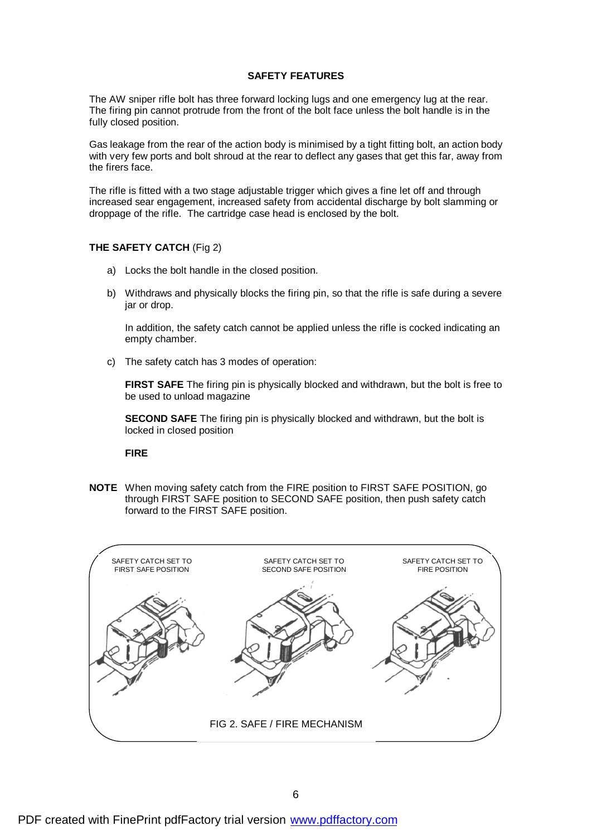#### **SAFETY FEATURES**

The AW sniper rifle bolt has three forward locking lugs and one emergency lug at the rear. The firing pin cannot protrude from the front of the bolt face unless the bolt handle is in the fully closed position.

Gas leakage from the rear of the action body is minimised by a tight fitting bolt, an action body with very few ports and bolt shroud at the rear to deflect any gases that get this far, away from the firers face.

The rifle is fitted with a two stage adjustable trigger which gives a fine let off and through increased sear engagement, increased safety from accidental discharge by bolt slamming or droppage of the rifle. The cartridge case head is enclosed by the bolt.

#### **THE SAFETY CATCH** (Fig 2)

- a) Locks the bolt handle in the closed position.
- b) Withdraws and physically blocks the firing pin, so that the rifle is safe during a severe jar or drop.

In addition, the safety catch cannot be applied unless the rifle is cocked indicating an empty chamber.

c) The safety catch has 3 modes of operation:

**FIRST SAFE** The firing pin is physically blocked and withdrawn, but the bolt is free to be used to unload magazine

**SECOND SAFE** The firing pin is physically blocked and withdrawn, but the bolt is locked in closed position

**FIRE**

**NOTE** When moving safety catch from the FIRE position to FIRST SAFE POSITION, go through FIRST SAFE position to SECOND SAFE position, then push safety catch forward to the FIRST SAFE position.

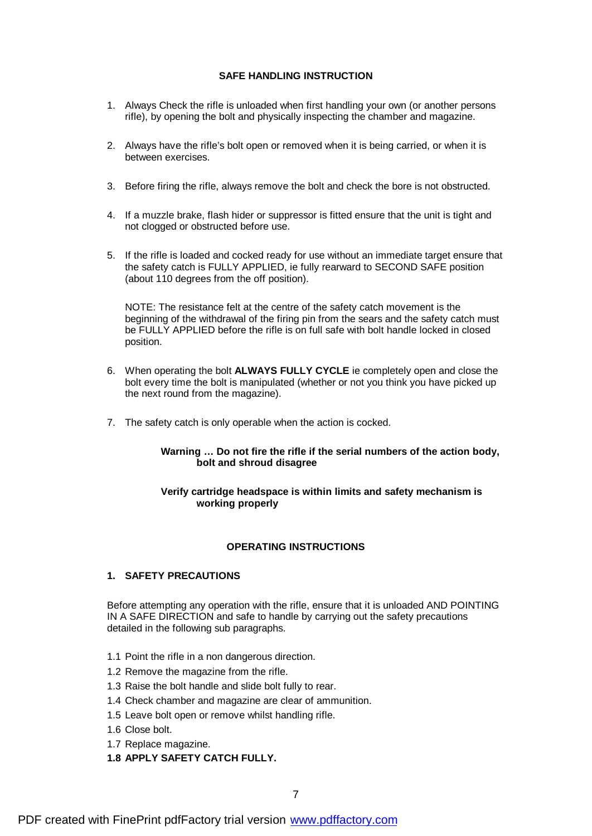#### **SAFE HANDLING INSTRUCTION**

- 1. Always Check the rifle is unloaded when first handling your own (or another persons rifle), by opening the bolt and physically inspecting the chamber and magazine.
- 2. Always have the rifle's bolt open or removed when it is being carried, or when it is between exercises.
- 3. Before firing the rifle, always remove the bolt and check the bore is not obstructed.
- 4. If a muzzle brake, flash hider or suppressor is fitted ensure that the unit is tight and not clogged or obstructed before use.
- 5. If the rifle is loaded and cocked ready for use without an immediate target ensure that the safety catch is FULLY APPLIED, ie fully rearward to SECOND SAFE position (about 110 degrees from the off position).

NOTE: The resistance felt at the centre of the safety catch movement is the beginning of the withdrawal of the firing pin from the sears and the safety catch must be FULLY APPLIED before the rifle is on full safe with bolt handle locked in closed position.

- 6. When operating the bolt **ALWAYS FULLY CYCLE** ie completely open and close the bolt every time the bolt is manipulated (whether or not you think you have picked up the next round from the magazine).
- 7. The safety catch is only operable when the action is cocked.

#### **Warning … Do not fire the rifle if the serial numbers of the action body, bolt and shroud disagree**

#### **Verify cartridge headspace is within limits and safety mechanism is working properly**

#### **OPERATING INSTRUCTIONS**

#### **1. SAFETY PRECAUTIONS**

Before attempting any operation with the rifle, ensure that it is unloaded AND POINTING IN A SAFE DIRECTION and safe to handle by carrying out the safety precautions detailed in the following sub paragraphs.

- 1.1 Point the rifle in a non dangerous direction.
- 1.2 Remove the magazine from the rifle.
- 1.3 Raise the bolt handle and slide bolt fully to rear.
- 1.4 Check chamber and magazine are clear of ammunition.
- 1.5 Leave bolt open or remove whilst handling rifle.
- 1.6 Close bolt.
- 1.7 Replace magazine.
- **1.8 APPLY SAFETY CATCH FULLY.**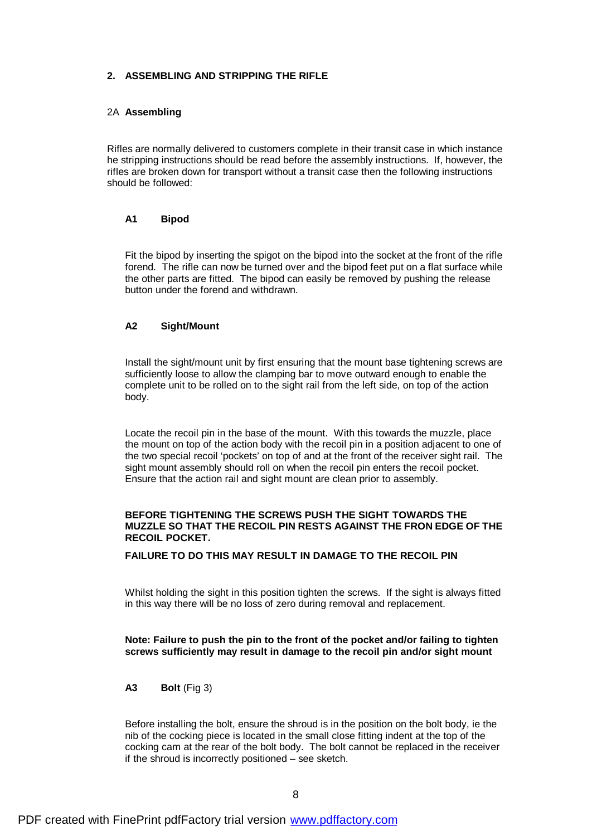#### **2. ASSEMBLING AND STRIPPING THE RIFLE**

#### 2A **Assembling**

Rifles are normally delivered to customers complete in their transit case in which instance he stripping instructions should be read before the assembly instructions. If, however, the rifles are broken down for transport without a transit case then the following instructions should be followed:

#### **A1 Bipod**

Fit the bipod by inserting the spigot on the bipod into the socket at the front of the rifle forend. The rifle can now be turned over and the bipod feet put on a flat surface while the other parts are fitted. The bipod can easily be removed by pushing the release button under the forend and withdrawn.

#### **A2 Sight/Mount**

Install the sight/mount unit by first ensuring that the mount base tightening screws are sufficiently loose to allow the clamping bar to move outward enough to enable the complete unit to be rolled on to the sight rail from the left side, on top of the action body.

Locate the recoil pin in the base of the mount. With this towards the muzzle, place the mount on top of the action body with the recoil pin in a position adjacent to one of the two special recoil 'pockets' on top of and at the front of the receiver sight rail. The sight mount assembly should roll on when the recoil pin enters the recoil pocket. Ensure that the action rail and sight mount are clean prior to assembly.

#### **BEFORE TIGHTENING THE SCREWS PUSH THE SIGHT TOWARDS THE MUZZLE SO THAT THE RECOIL PIN RESTS AGAINST THE FRON EDGE OF THE RECOIL POCKET.**

#### **FAILURE TO DO THIS MAY RESULT IN DAMAGE TO THE RECOIL PIN**

Whilst holding the sight in this position tighten the screws. If the sight is always fitted in this way there will be no loss of zero during removal and replacement.

#### **Note: Failure to push the pin to the front of the pocket and/or failing to tighten screws sufficiently may result in damage to the recoil pin and/or sight mount**

#### **A3 Bolt** (Fig 3)

Before installing the bolt, ensure the shroud is in the position on the bolt body, ie the nib of the cocking piece is located in the small close fitting indent at the top of the cocking cam at the rear of the bolt body. The bolt cannot be replaced in the receiver if the shroud is incorrectly positioned – see sketch.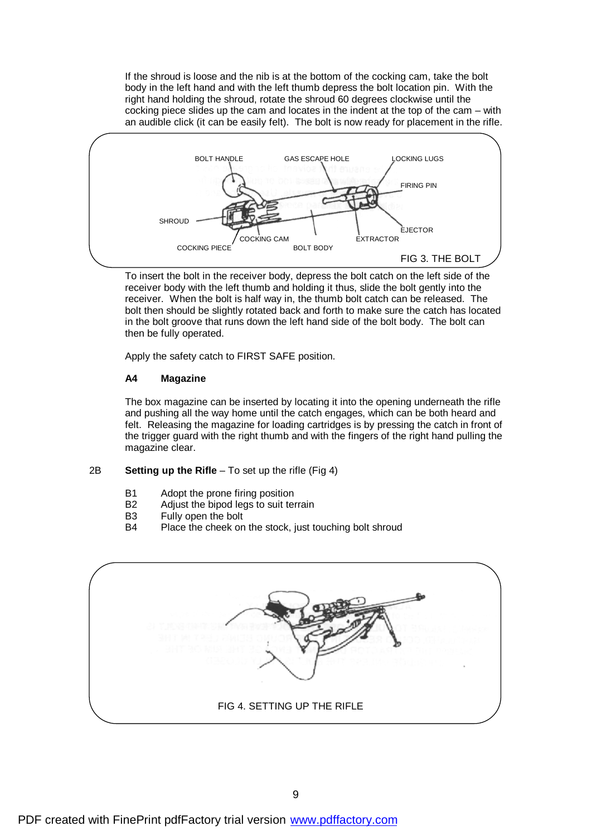If the shroud is loose and the nib is at the bottom of the cocking cam, take the bolt body in the left hand and with the left thumb depress the bolt location pin. With the right hand holding the shroud, rotate the shroud 60 degrees clockwise until the cocking piece slides up the cam and locates in the indent at the top of the cam – with an audible click (it can be easily felt). The bolt is now ready for placement in the rifle.



To insert the bolt in the receiver body, depress the bolt catch on the left side of the receiver body with the left thumb and holding it thus, slide the bolt gently into the receiver. When the bolt is half way in, the thumb bolt catch can be released. The bolt then should be slightly rotated back and forth to make sure the catch has located in the bolt groove that runs down the left hand side of the bolt body. The bolt can then be fully operated.

Apply the safety catch to FIRST SAFE position.

#### **A4 Magazine**

The box magazine can be inserted by locating it into the opening underneath the rifle and pushing all the way home until the catch engages, which can be both heard and felt. Releasing the magazine for loading cartridges is by pressing the catch in front of the trigger guard with the right thumb and with the fingers of the right hand pulling the magazine clear.

#### 2B **Setting up the Rifle** – To set up the rifle (Fig 4)

- B1 Adopt the prone firing position
- B2 Adjust the bipod legs to suit terrain
- B3 Fully open the bolt
- B4 Place the cheek on the stock, just touching bolt shroud

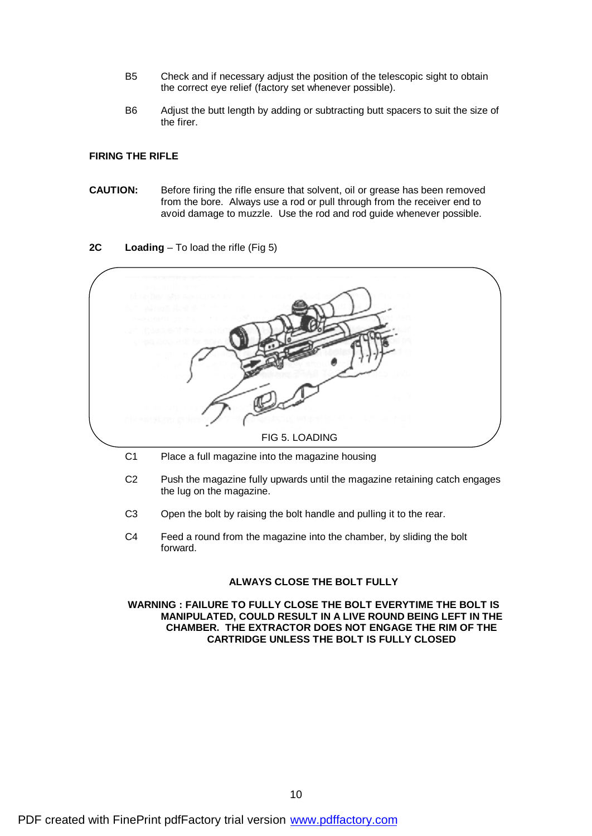- B5 Check and if necessary adjust the position of the telescopic sight to obtain the correct eye relief (factory set whenever possible).
- B6 Adjust the butt length by adding or subtracting butt spacers to suit the size of the firer.

#### **FIRING THE RIFLE**

**CAUTION:** Before firing the rifle ensure that solvent, oil or grease has been removed from the bore. Always use a rod or pull through from the receiver end to avoid damage to muzzle. Use the rod and rod guide whenever possible.

#### **2C Loading** – To load the rifle (Fig 5)



- 
- C2 Push the magazine fully upwards until the magazine retaining catch engages the lug on the magazine.
- C3 Open the bolt by raising the bolt handle and pulling it to the rear.
- C4 Feed a round from the magazine into the chamber, by sliding the bolt forward.

#### **ALWAYS CLOSE THE BOLT FULLY**

#### **WARNING : FAILURE TO FULLY CLOSE THE BOLT EVERYTIME THE BOLT IS MANIPULATED, COULD RESULT IN A LIVE ROUND BEING LEFT IN THE CHAMBER. THE EXTRACTOR DOES NOT ENGAGE THE RIM OF THE CARTRIDGE UNLESS THE BOLT IS FULLY CLOSED**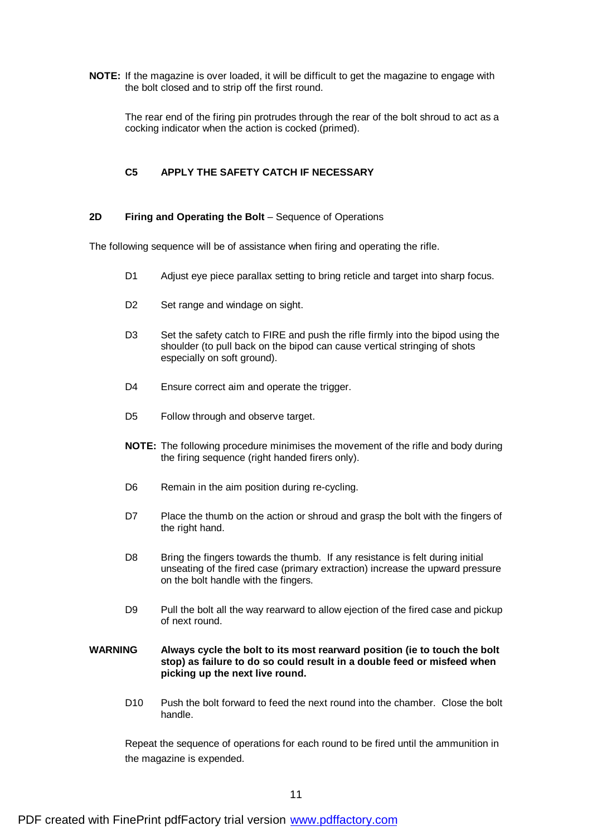**NOTE:** If the magazine is over loaded, it will be difficult to get the magazine to engage with the bolt closed and to strip off the first round.

The rear end of the firing pin protrudes through the rear of the bolt shroud to act as a cocking indicator when the action is cocked (primed).

#### **C5 APPLY THE SAFETY CATCH IF NECESSARY**

#### **2D Firing and Operating the Bolt** – Sequence of Operations

The following sequence will be of assistance when firing and operating the rifle.

- D1 Adjust eye piece parallax setting to bring reticle and target into sharp focus.
- D2 Set range and windage on sight.
- D3 Set the safety catch to FIRE and push the rifle firmly into the bipod using the shoulder (to pull back on the bipod can cause vertical stringing of shots especially on soft ground).
- D4 Ensure correct aim and operate the trigger.
- D5 Follow through and observe target.
- **NOTE:** The following procedure minimises the movement of the rifle and body during the firing sequence (right handed firers only).
- D6 Remain in the aim position during re-cycling.
- D7 Place the thumb on the action or shroud and grasp the bolt with the fingers of the right hand.
- D8 Bring the fingers towards the thumb. If any resistance is felt during initial unseating of the fired case (primary extraction) increase the upward pressure on the bolt handle with the fingers.
- D9 Pull the bolt all the way rearward to allow ejection of the fired case and pickup of next round.
- **WARNING Always cycle the bolt to its most rearward position (ie to touch the bolt stop) as failure to do so could result in a double feed or misfeed when picking up the next live round.**
	- D10 Push the bolt forward to feed the next round into the chamber. Close the bolt handle.

Repeat the sequence of operations for each round to be fired until the ammunition in the magazine is expended.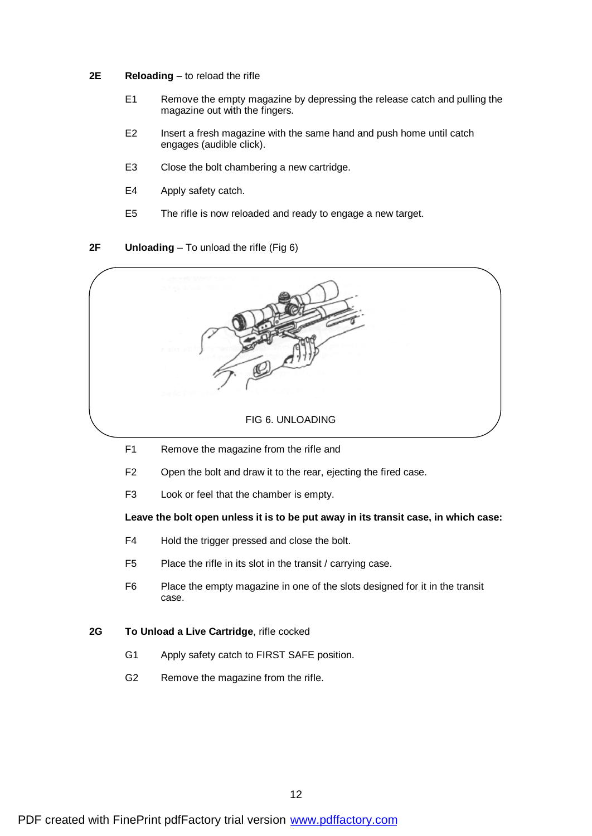- **2E Reloading** to reload the rifle
	- E1 Remove the empty magazine by depressing the release catch and pulling the magazine out with the fingers.
	- E2 Insert a fresh magazine with the same hand and push home until catch engages (audible click).
	- E3 Close the bolt chambering a new cartridge.
	- E4 Apply safety catch.
	- E5 The rifle is now reloaded and ready to engage a new target.

#### **2F Unloading** – To unload the rifle (Fig 6)



- F1 Remove the magazine from the rifle and
- F2 Open the bolt and draw it to the rear, ejecting the fired case.
- F3 Look or feel that the chamber is empty.

#### **Leave the bolt open unless it is to be put away in its transit case, in which case:**

- F4 Hold the trigger pressed and close the bolt.
- F5 Place the rifle in its slot in the transit / carrying case.
- F6 Place the empty magazine in one of the slots designed for it in the transit case.

#### **2G To Unload a Live Cartridge**, rifle cocked

- G1 Apply safety catch to FIRST SAFE position.
- G2 Remove the magazine from the rifle.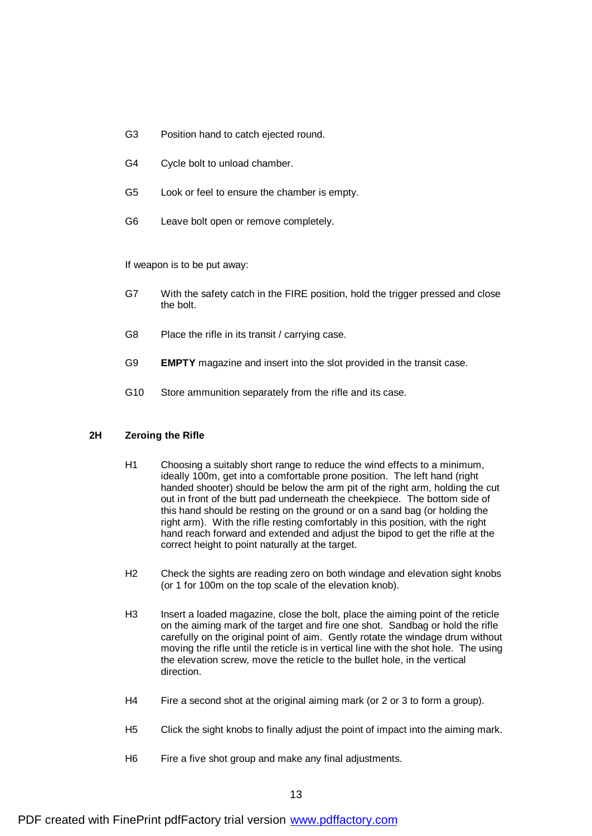- G3 Position hand to catch ejected round.
- G4 Cycle bolt to unload chamber.
- G5 Look or feel to ensure the chamber is empty.
- G6 Leave bolt open or remove completely.

If weapon is to be put away:

- G7 With the safety catch in the FIRE position, hold the trigger pressed and close the bolt.
- G8 Place the rifle in its transit / carrying case.
- G9 **EMPTY** magazine and insert into the slot provided in the transit case.
- G10 Store ammunition separately from the rifle and its case.

#### **2H Zeroing the Rifle**

- H1 Choosing a suitably short range to reduce the wind effects to a minimum, ideally 100m, get into a comfortable prone position. The left hand (right handed shooter) should be below the arm pit of the right arm, holding the cut out in front of the butt pad underneath the cheekpiece. The bottom side of this hand should be resting on the ground or on a sand bag (or holding the right arm). With the rifle resting comfortably in this position, with the right hand reach forward and extended and adjust the bipod to get the rifle at the correct height to point naturally at the target.
- H2 Check the sights are reading zero on both windage and elevation sight knobs (or 1 for 100m on the top scale of the elevation knob).
- H3 Insert a loaded magazine, close the bolt, place the aiming point of the reticle on the aiming mark of the target and fire one shot. Sandbag or hold the rifle carefully on the original point of aim. Gently rotate the windage drum without moving the rifle until the reticle is in vertical line with the shot hole. The using the elevation screw, move the reticle to the bullet hole, in the vertical direction.
- H4 Fire a second shot at the original aiming mark (or 2 or 3 to form a group).
- H5 Click the sight knobs to finally adjust the point of impact into the aiming mark.
- H6 Fire a five shot group and make any final adjustments.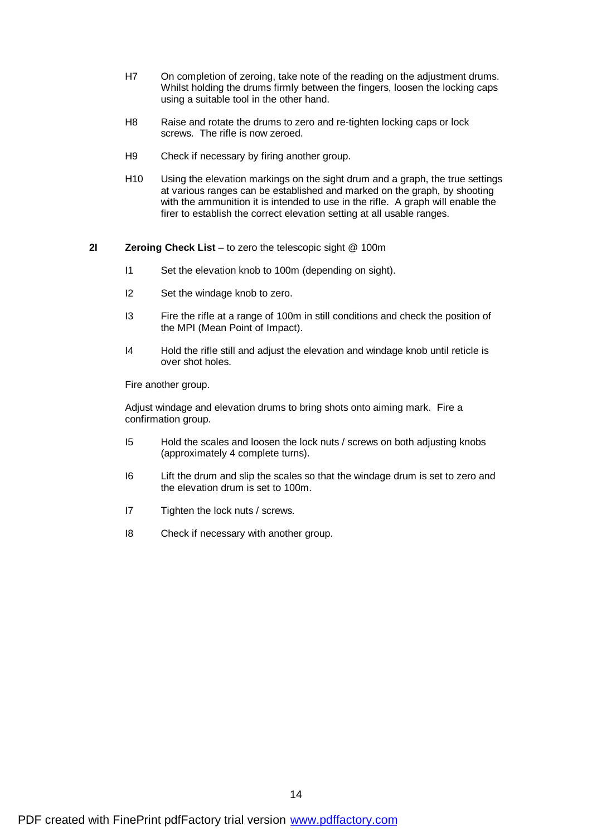- H7 On completion of zeroing, take note of the reading on the adjustment drums. Whilst holding the drums firmly between the fingers, loosen the locking caps using a suitable tool in the other hand.
- H8 Raise and rotate the drums to zero and re-tighten locking caps or lock screws. The rifle is now zeroed.
- H9 Check if necessary by firing another group.
- H10 Using the elevation markings on the sight drum and a graph, the true settings at various ranges can be established and marked on the graph, by shooting with the ammunition it is intended to use in the rifle. A graph will enable the firer to establish the correct elevation setting at all usable ranges.

#### **2I Zeroing Check List** – to zero the telescopic sight @ 100m

- I1 Set the elevation knob to 100m (depending on sight).
- I2 Set the windage knob to zero.
- I3 Fire the rifle at a range of 100m in still conditions and check the position of the MPI (Mean Point of Impact).
- I4 Hold the rifle still and adjust the elevation and windage knob until reticle is over shot holes.

Fire another group.

Adjust windage and elevation drums to bring shots onto aiming mark. Fire a confirmation group.

- I5 Hold the scales and loosen the lock nuts / screws on both adjusting knobs (approximately 4 complete turns).
- I6 Lift the drum and slip the scales so that the windage drum is set to zero and the elevation drum is set to 100m.
- I7 Tighten the lock nuts / screws.
- I8 Check if necessary with another group.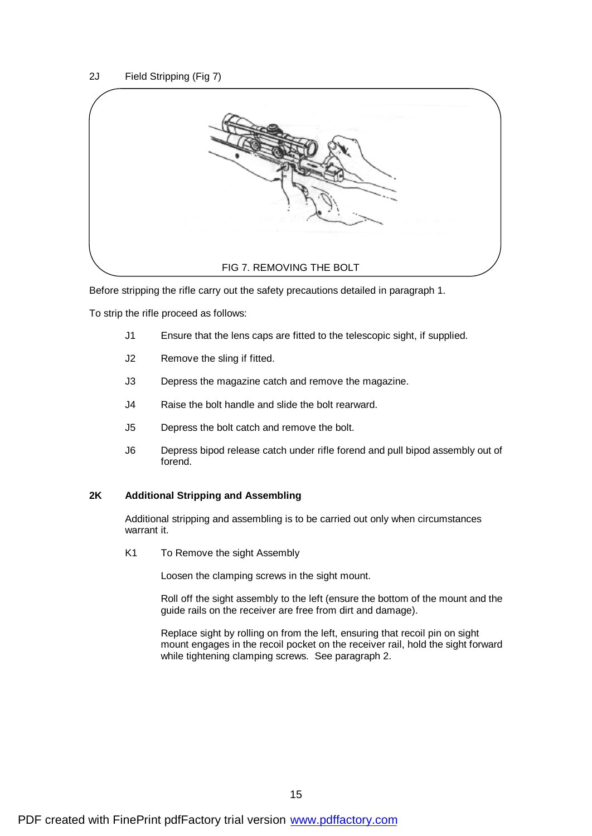

Before stripping the rifle carry out the safety precautions detailed in paragraph 1.

To strip the rifle proceed as follows:

- J1 Ensure that the lens caps are fitted to the telescopic sight, if supplied.
- J2 Remove the sling if fitted.
- J3 Depress the magazine catch and remove the magazine.
- J4 Raise the bolt handle and slide the bolt rearward.
- J5 Depress the bolt catch and remove the bolt.
- J6 Depress bipod release catch under rifle forend and pull bipod assembly out of forend.

#### **2K Additional Stripping and Assembling**

Additional stripping and assembling is to be carried out only when circumstances warrant it.

K1 To Remove the sight Assembly

Loosen the clamping screws in the sight mount.

Roll off the sight assembly to the left (ensure the bottom of the mount and the guide rails on the receiver are free from dirt and damage).

Replace sight by rolling on from the left, ensuring that recoil pin on sight mount engages in the recoil pocket on the receiver rail, hold the sight forward while tightening clamping screws. See paragraph 2.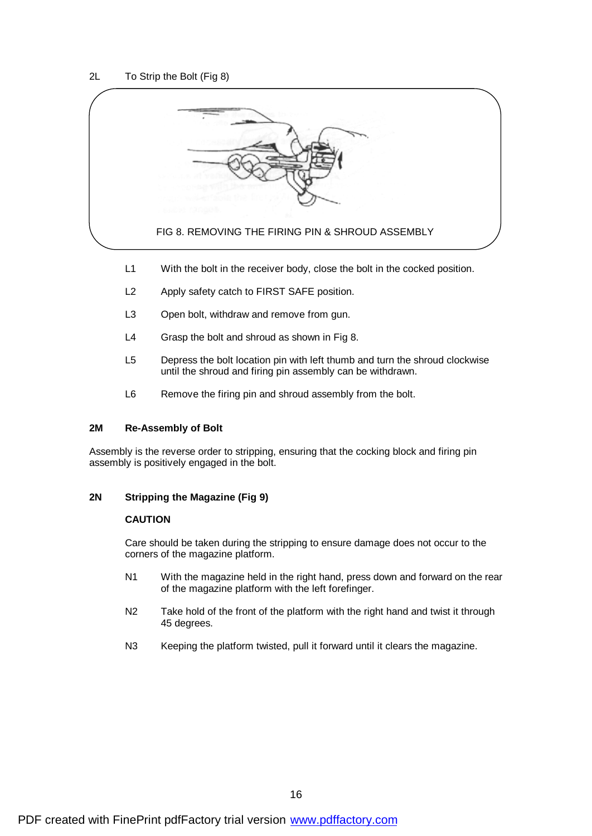

- L1 With the bolt in the receiver body, close the bolt in the cocked position.
- L2 Apply safety catch to FIRST SAFE position.
- L3 Open bolt, withdraw and remove from gun.
- L4 Grasp the bolt and shroud as shown in Fig 8.
- L5 Depress the bolt location pin with left thumb and turn the shroud clockwise until the shroud and firing pin assembly can be withdrawn.
- L6 Remove the firing pin and shroud assembly from the bolt.

#### **2M Re-Assembly of Bolt**

Assembly is the reverse order to stripping, ensuring that the cocking block and firing pin assembly is positively engaged in the bolt.

#### **2N Stripping the Magazine (Fig 9)**

#### **CAUTION**

Care should be taken during the stripping to ensure damage does not occur to the corners of the magazine platform.

- N1 With the magazine held in the right hand, press down and forward on the rear of the magazine platform with the left forefinger.
- N2 Take hold of the front of the platform with the right hand and twist it through 45 degrees.
- N3 Keeping the platform twisted, pull it forward until it clears the magazine.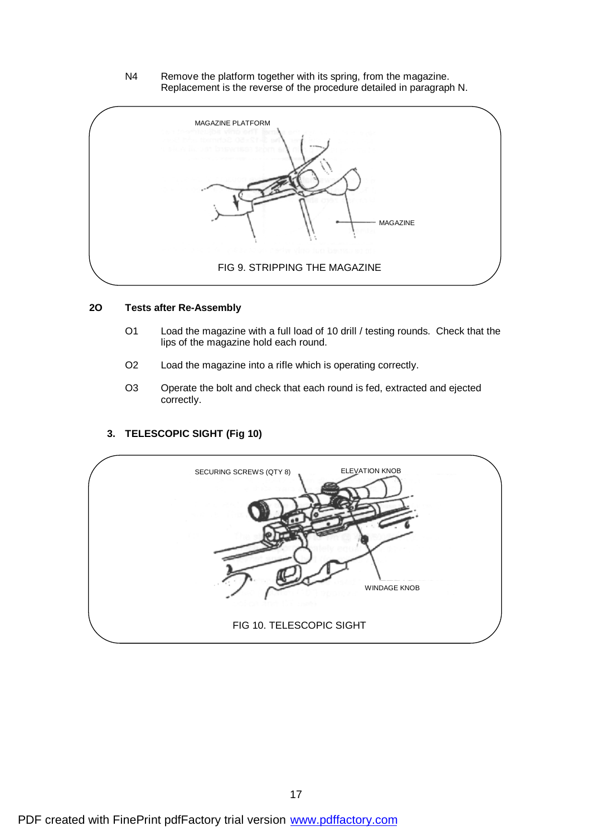N4 Remove the platform together with its spring, from the magazine. Replacement is the reverse of the procedure detailed in paragraph N.



#### **2O Tests after Re-Assembly**

- O1 Load the magazine with a full load of 10 drill / testing rounds. Check that the lips of the magazine hold each round.
- O2 Load the magazine into a rifle which is operating correctly.
- O3 Operate the bolt and check that each round is fed, extracted and ejected correctly.

#### **3. TELESCOPIC SIGHT (Fig 10)**

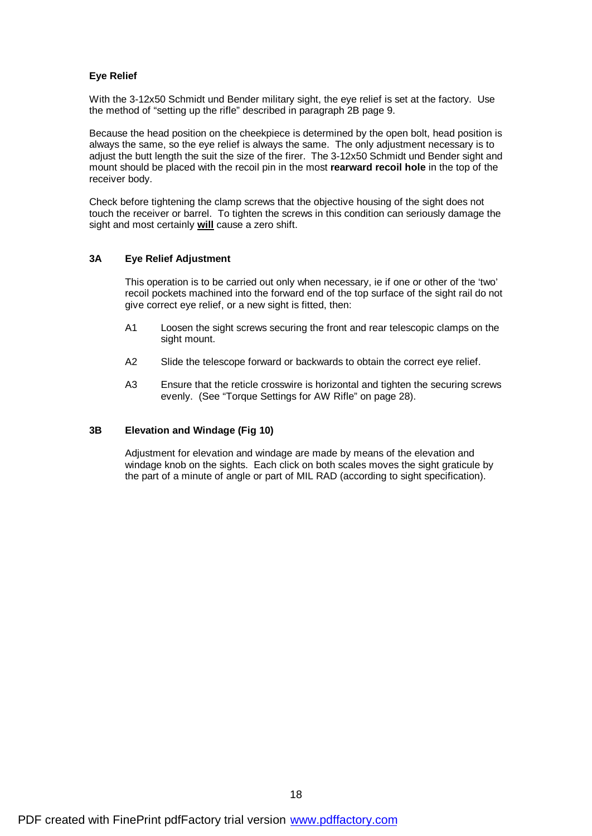#### **Eye Relief**

With the 3-12x50 Schmidt und Bender military sight, the eye relief is set at the factory. Use the method of "setting up the rifle" described in paragraph 2B page 9.

Because the head position on the cheekpiece is determined by the open bolt, head position is always the same, so the eye relief is always the same. The only adjustment necessary is to adjust the butt length the suit the size of the firer. The 3-12x50 Schmidt und Bender sight and mount should be placed with the recoil pin in the most **rearward recoil hole** in the top of the receiver body.

Check before tightening the clamp screws that the objective housing of the sight does not touch the receiver or barrel. To tighten the screws in this condition can seriously damage the sight and most certainly **will** cause a zero shift.

#### **3A Eye Relief Adjustment**

This operation is to be carried out only when necessary, ie if one or other of the 'two' recoil pockets machined into the forward end of the top surface of the sight rail do not give correct eye relief, or a new sight is fitted, then:

- A1 Loosen the sight screws securing the front and rear telescopic clamps on the sight mount.
- A2 Slide the telescope forward or backwards to obtain the correct eye relief.
- A3 Ensure that the reticle crosswire is horizontal and tighten the securing screws evenly. (See "Torque Settings for AW Rifle" on page 28).

#### **3B Elevation and Windage (Fig 10)**

Adjustment for elevation and windage are made by means of the elevation and windage knob on the sights. Each click on both scales moves the sight graticule by the part of a minute of angle or part of MIL RAD (according to sight specification).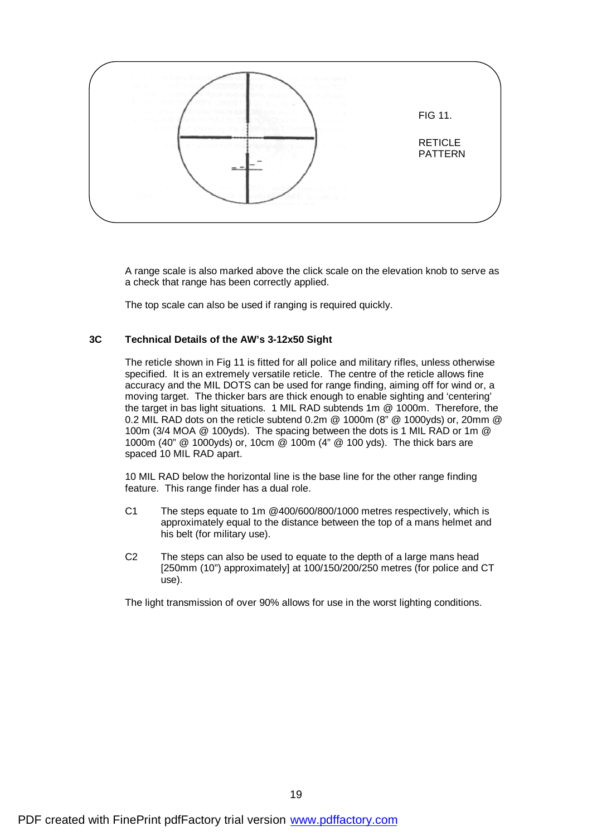

A range scale is also marked above the click scale on the elevation knob to serve as a check that range has been correctly applied.

The top scale can also be used if ranging is required quickly.

#### **3C Technical Details of the AW's 3-12x50 Sight**

The reticle shown in Fig 11 is fitted for all police and military rifles, unless otherwise specified. It is an extremely versatile reticle. The centre of the reticle allows fine accuracy and the MIL DOTS can be used for range finding, aiming off for wind or, a moving target. The thicker bars are thick enough to enable sighting and 'centering' the target in bas light situations. 1 MIL RAD subtends 1m @ 1000m. Therefore, the 0.2 MIL RAD dots on the reticle subtend 0.2m @ 1000m (8" @ 1000yds) or, 20mm @ 100m (3/4 MOA @ 100yds). The spacing between the dots is 1 MIL RAD or 1m @ 1000m (40" @ 1000yds) or, 10cm @ 100m (4" @ 100 yds). The thick bars are spaced 10 MIL RAD apart.

10 MIL RAD below the horizontal line is the base line for the other range finding feature. This range finder has a dual role.

- C1 The steps equate to 1m @400/600/800/1000 metres respectively, which is approximately equal to the distance between the top of a mans helmet and his belt (for military use).
- C2 The steps can also be used to equate to the depth of a large mans head [250mm (10") approximately] at 100/150/200/250 metres (for police and CT use).

The light transmission of over 90% allows for use in the worst lighting conditions.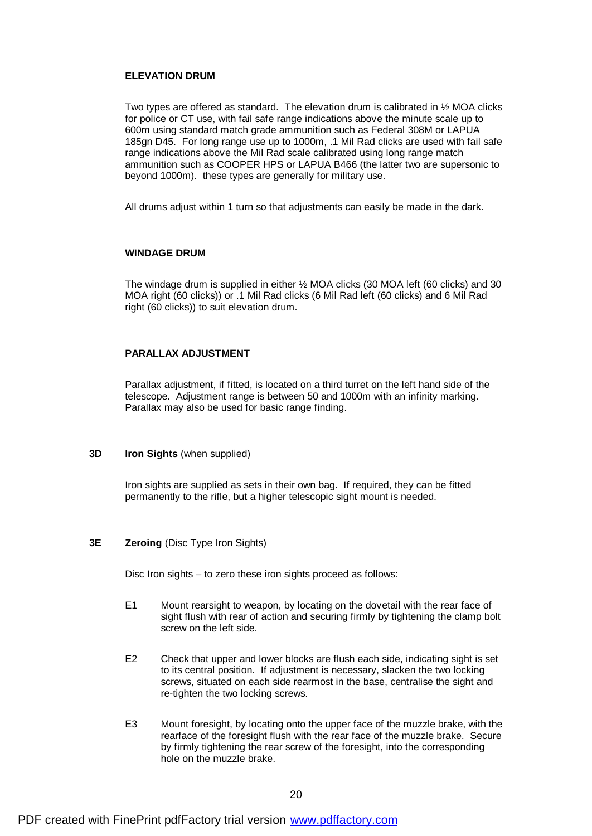#### **ELEVATION DRUM**

Two types are offered as standard. The elevation drum is calibrated in ½ MOA clicks for police or CT use, with fail safe range indications above the minute scale up to 600m using standard match grade ammunition such as Federal 308M or LAPUA 185gn D45. For long range use up to 1000m, .1 Mil Rad clicks are used with fail safe range indications above the Mil Rad scale calibrated using long range match ammunition such as COOPER HPS or LAPUA B466 (the latter two are supersonic to beyond 1000m). these types are generally for military use.

All drums adjust within 1 turn so that adjustments can easily be made in the dark.

#### **WINDAGE DRUM**

The windage drum is supplied in either ½ MOA clicks (30 MOA left (60 clicks) and 30 MOA right (60 clicks)) or .1 Mil Rad clicks (6 Mil Rad left (60 clicks) and 6 Mil Rad right (60 clicks)) to suit elevation drum.

#### **PARALLAX ADJUSTMENT**

Parallax adjustment, if fitted, is located on a third turret on the left hand side of the telescope. Adjustment range is between 50 and 1000m with an infinity marking. Parallax may also be used for basic range finding.

#### **3D Iron Sights** (when supplied)

Iron sights are supplied as sets in their own bag. If required, they can be fitted permanently to the rifle, but a higher telescopic sight mount is needed.

#### **3E Zeroing** (Disc Type Iron Sights)

Disc Iron sights – to zero these iron sights proceed as follows:

- E1 Mount rearsight to weapon, by locating on the dovetail with the rear face of sight flush with rear of action and securing firmly by tightening the clamp bolt screw on the left side.
- E2 Check that upper and lower blocks are flush each side, indicating sight is set to its central position. If adjustment is necessary, slacken the two locking screws, situated on each side rearmost in the base, centralise the sight and re-tighten the two locking screws.
- E3 Mount foresight, by locating onto the upper face of the muzzle brake, with the rearface of the foresight flush with the rear face of the muzzle brake. Secure by firmly tightening the rear screw of the foresight, into the corresponding hole on the muzzle brake.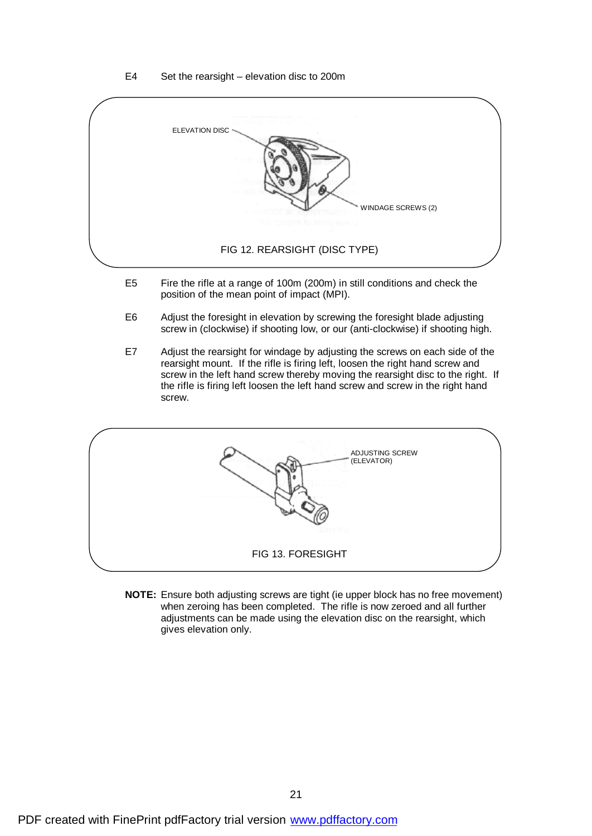#### E4 Set the rearsight – elevation disc to 200m



- E5 Fire the rifle at a range of 100m (200m) in still conditions and check the position of the mean point of impact (MPI).
- E6 Adjust the foresight in elevation by screwing the foresight blade adjusting screw in (clockwise) if shooting low, or our (anti-clockwise) if shooting high.
- E7 Adjust the rearsight for windage by adjusting the screws on each side of the rearsight mount. If the rifle is firing left, loosen the right hand screw and screw in the left hand screw thereby moving the rearsight disc to the right. If the rifle is firing left loosen the left hand screw and screw in the right hand screw.

| ADJUSTING SCREW<br>(ELEVATOR) |  |
|-------------------------------|--|
| FIG 13. FORESIGHT             |  |

**NOTE:** Ensure both adjusting screws are tight (ie upper block has no free movement) when zeroing has been completed. The rifle is now zeroed and all further adjustments can be made using the elevation disc on the rearsight, which gives elevation only.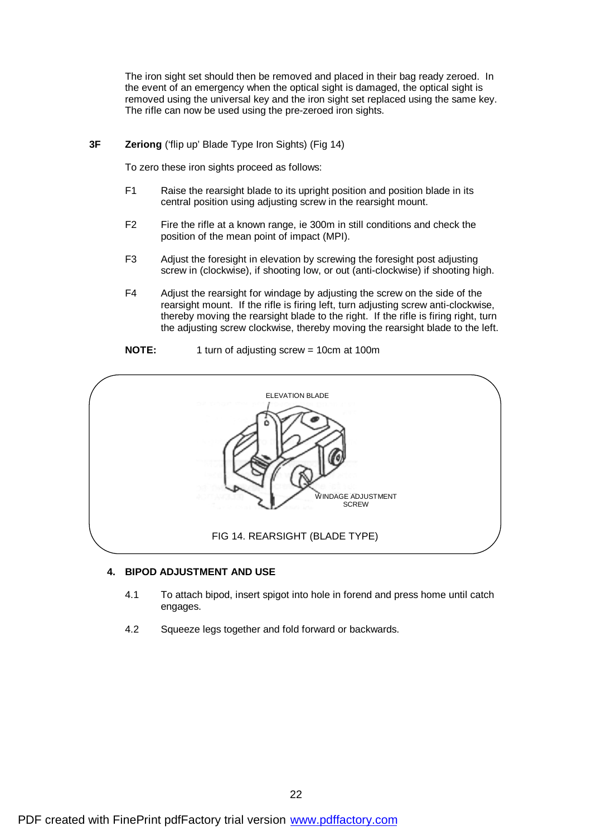The iron sight set should then be removed and placed in their bag ready zeroed. In the event of an emergency when the optical sight is damaged, the optical sight is removed using the universal key and the iron sight set replaced using the same key. The rifle can now be used using the pre-zeroed iron sights.

#### **3F Zeriong** ('flip up' Blade Type Iron Sights) (Fig 14)

To zero these iron sights proceed as follows:

- F1 Raise the rearsight blade to its upright position and position blade in its central position using adjusting screw in the rearsight mount.
- F2 Fire the rifle at a known range, ie 300m in still conditions and check the position of the mean point of impact (MPI).
- F3 Adjust the foresight in elevation by screwing the foresight post adjusting screw in (clockwise), if shooting low, or out (anti-clockwise) if shooting high.
- F4 Adjust the rearsight for windage by adjusting the screw on the side of the rearsight mount. If the rifle is firing left, turn adjusting screw anti-clockwise, thereby moving the rearsight blade to the right. If the rifle is firing right, turn the adjusting screw clockwise, thereby moving the rearsight blade to the left.
- **NOTE:** 1 turn of adjusting screw = 10cm at 100m



#### **4. BIPOD ADJUSTMENT AND USE**

- 4.1 To attach bipod, insert spigot into hole in forend and press home until catch engages.
- 4.2 Squeeze legs together and fold forward or backwards.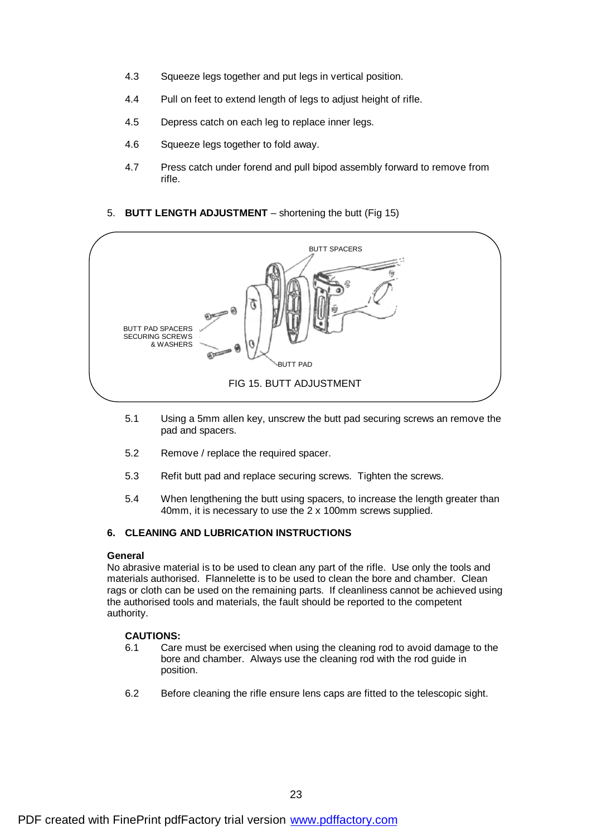- 4.3 Squeeze legs together and put legs in vertical position.
- 4.4 Pull on feet to extend length of legs to adjust height of rifle.
- 4.5 Depress catch on each leg to replace inner legs.
- 4.6 Squeeze legs together to fold away.
- 4.7 Press catch under forend and pull bipod assembly forward to remove from rifle.

#### 5. **BUTT LENGTH ADJUSTMENT** – shortening the butt (Fig 15)



- 5.1 Using a 5mm allen key, unscrew the butt pad securing screws an remove the pad and spacers.
- 5.2 Remove / replace the required spacer.
- 5.3 Refit butt pad and replace securing screws. Tighten the screws.
- 5.4 When lengthening the butt using spacers, to increase the length greater than 40mm, it is necessary to use the 2 x 100mm screws supplied.

#### **6. CLEANING AND LUBRICATION INSTRUCTIONS**

#### **General**

No abrasive material is to be used to clean any part of the rifle. Use only the tools and materials authorised. Flannelette is to be used to clean the bore and chamber. Clean rags or cloth can be used on the remaining parts. If cleanliness cannot be achieved using the authorised tools and materials, the fault should be reported to the competent authority.

#### **CAUTIONS:**

- 6.1 Care must be exercised when using the cleaning rod to avoid damage to the bore and chamber. Always use the cleaning rod with the rod guide in position.
- 6.2 Before cleaning the rifle ensure lens caps are fitted to the telescopic sight.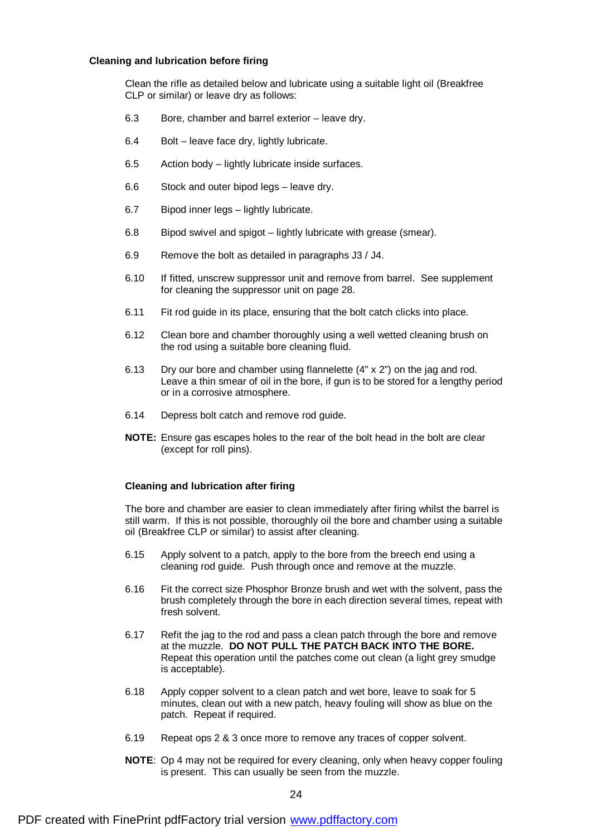#### **Cleaning and lubrication before firing**

Clean the rifle as detailed below and lubricate using a suitable light oil (Breakfree CLP or similar) or leave dry as follows:

- 6.3 Bore, chamber and barrel exterior leave dry.
- 6.4 Bolt leave face dry, lightly lubricate.
- 6.5 Action body lightly lubricate inside surfaces.
- 6.6 Stock and outer bipod legs leave dry.
- 6.7 Bipod inner legs lightly lubricate.
- 6.8 Bipod swivel and spigot lightly lubricate with grease (smear).
- 6.9 Remove the bolt as detailed in paragraphs J3 / J4.
- 6.10 If fitted, unscrew suppressor unit and remove from barrel. See supplement for cleaning the suppressor unit on page 28.
- 6.11 Fit rod guide in its place, ensuring that the bolt catch clicks into place.
- 6.12 Clean bore and chamber thoroughly using a well wetted cleaning brush on the rod using a suitable bore cleaning fluid.
- 6.13 Dry our bore and chamber using flannelette (4" x 2") on the jag and rod. Leave a thin smear of oil in the bore, if gun is to be stored for a lengthy period or in a corrosive atmosphere.
- 6.14 Depress bolt catch and remove rod guide.
- **NOTE:** Ensure gas escapes holes to the rear of the bolt head in the bolt are clear (except for roll pins).

#### **Cleaning and lubrication after firing**

The bore and chamber are easier to clean immediately after firing whilst the barrel is still warm. If this is not possible, thoroughly oil the bore and chamber using a suitable oil (Breakfree CLP or similar) to assist after cleaning.

- 6.15 Apply solvent to a patch, apply to the bore from the breech end using a cleaning rod guide. Push through once and remove at the muzzle.
- 6.16 Fit the correct size Phosphor Bronze brush and wet with the solvent, pass the brush completely through the bore in each direction several times, repeat with fresh solvent.
- 6.17 Refit the jag to the rod and pass a clean patch through the bore and remove at the muzzle. **DO NOT PULL THE PATCH BACK INTO THE BORE.** Repeat this operation until the patches come out clean (a light grey smudge is acceptable).
- 6.18 Apply copper solvent to a clean patch and wet bore, leave to soak for 5 minutes, clean out with a new patch, heavy fouling will show as blue on the patch. Repeat if required.
- 6.19 Repeat ops 2 & 3 once more to remove any traces of copper solvent.
- **NOTE**: Op 4 may not be required for every cleaning, only when heavy copper fouling is present. This can usually be seen from the muzzle.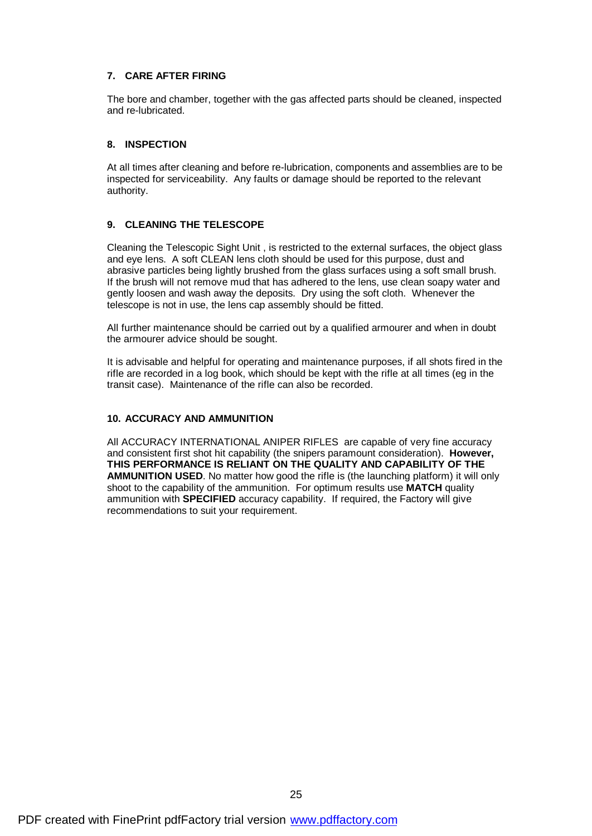#### **7. CARE AFTER FIRING**

The bore and chamber, together with the gas affected parts should be cleaned, inspected and re-lubricated.

#### **8. INSPECTION**

At all times after cleaning and before re-lubrication, components and assemblies are to be inspected for serviceability. Any faults or damage should be reported to the relevant authority.

#### **9. CLEANING THE TELESCOPE**

Cleaning the Telescopic Sight Unit , is restricted to the external surfaces, the object glass and eye lens. A soft CLEAN lens cloth should be used for this purpose, dust and abrasive particles being lightly brushed from the glass surfaces using a soft small brush. If the brush will not remove mud that has adhered to the lens, use clean soapy water and gently loosen and wash away the deposits. Dry using the soft cloth. Whenever the telescope is not in use, the lens cap assembly should be fitted.

All further maintenance should be carried out by a qualified armourer and when in doubt the armourer advice should be sought.

It is advisable and helpful for operating and maintenance purposes, if all shots fired in the rifle are recorded in a log book, which should be kept with the rifle at all times (eg in the transit case). Maintenance of the rifle can also be recorded.

#### **10. ACCURACY AND AMMUNITION**

All ACCURACY INTERNATIONAL ANIPER RIFLES are capable of very fine accuracy and consistent first shot hit capability (the snipers paramount consideration). **However, THIS PERFORMANCE IS RELIANT ON THE QUALITY AND CAPABILITY OF THE AMMUNITION USED**. No matter how good the rifle is (the launching platform) it will only shoot to the capability of the ammunition. For optimum results use **MATCH** quality ammunition with **SPECIFIED** accuracy capability. If required, the Factory will give recommendations to suit your requirement.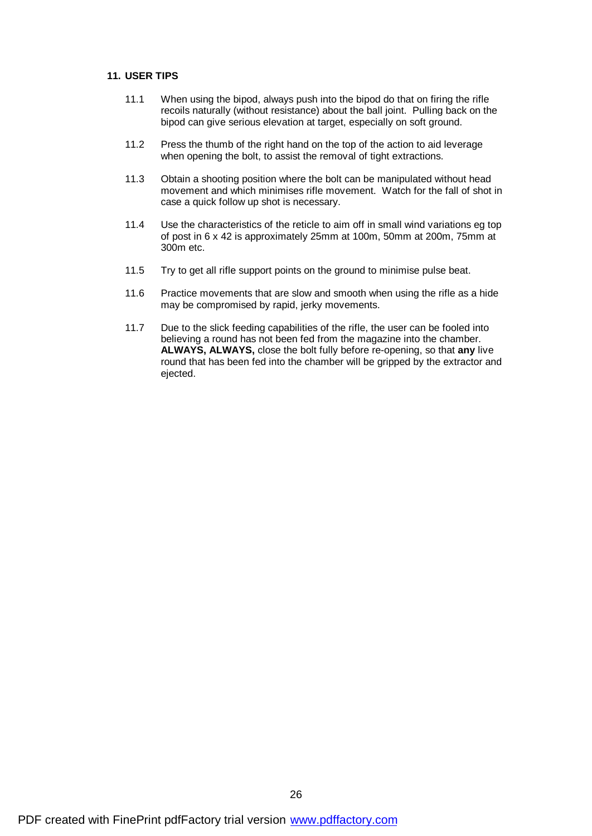#### **11. USER TIPS**

- 11.1 When using the bipod, always push into the bipod do that on firing the rifle recoils naturally (without resistance) about the ball joint. Pulling back on the bipod can give serious elevation at target, especially on soft ground.
- 11.2 Press the thumb of the right hand on the top of the action to aid leverage when opening the bolt, to assist the removal of tight extractions.
- 11.3 Obtain a shooting position where the bolt can be manipulated without head movement and which minimises rifle movement. Watch for the fall of shot in case a quick follow up shot is necessary.
- 11.4 Use the characteristics of the reticle to aim off in small wind variations eg top of post in 6 x 42 is approximately 25mm at 100m, 50mm at 200m, 75mm at 300m etc.
- 11.5 Try to get all rifle support points on the ground to minimise pulse beat.
- 11.6 Practice movements that are slow and smooth when using the rifle as a hide may be compromised by rapid, jerky movements.
- 11.7 Due to the slick feeding capabilities of the rifle, the user can be fooled into believing a round has not been fed from the magazine into the chamber. **ALWAYS, ALWAYS,** close the bolt fully before re-opening, so that **any** live round that has been fed into the chamber will be gripped by the extractor and ejected.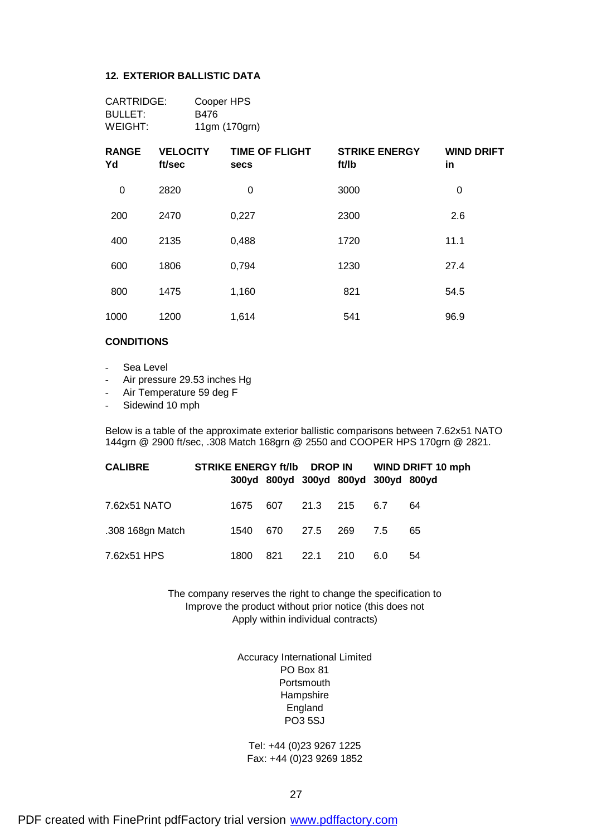#### **12. EXTERIOR BALLISTIC DATA**

| CARTRIDGE: | Cooper HPS    |
|------------|---------------|
| BULLET:    | B476          |
| WEIGHT:    | 11gm (170grn) |

| <b>RANGE</b><br>Yd | <b>VELOCITY</b><br>ft/sec | <b>TIME OF FLIGHT</b><br><b>secs</b> | <b>STRIKE ENERGY</b><br>ft/lb | <b>WIND DRIFT</b><br>in |
|--------------------|---------------------------|--------------------------------------|-------------------------------|-------------------------|
| 0                  | 2820                      | 0                                    | 3000                          | $\mathbf 0$             |
| 200                | 2470                      | 0,227                                | 2300                          | 2.6                     |
| 400                | 2135                      | 0,488                                | 1720                          | 11.1                    |
| 600                | 1806                      | 0,794                                | 1230                          | 27.4                    |
| 800                | 1475                      | 1,160                                | 821                           | 54.5                    |
| 1000               | 1200                      | 1,614                                | 541                           | 96.9                    |

#### **CONDITIONS**

- Sea Level
- Air pressure 29.53 inches Hg
- Air Temperature 59 deg F
- Sidewind 10 mph

Below is a table of the approximate exterior ballistic comparisons between 7.62x51 NATO 144grn @ 2900 ft/sec, .308 Match 168grn @ 2550 and COOPER HPS 170grn @ 2821.

| <b>CALIBRE</b>   | STRIKE ENERGY ft/lb DROP IN WIND DRIFT 10 mph |          |                                     |              |          |     |    |
|------------------|-----------------------------------------------|----------|-------------------------------------|--------------|----------|-----|----|
|                  |                                               |          | 300yd 800yd 300yd 800yd 300yd 800yd |              |          |     |    |
| 7.62x51 NATO     |                                               | 1675     |                                     | 607 21.3 215 |          | 6.7 | 64 |
| .308 168gn Match |                                               | 1540 670 |                                     |              | 27.5 269 | 7.5 | 65 |
| 7.62x51 HPS      |                                               | 1800     | 821                                 | 22.1 210     |          | 6.0 | 54 |

The company reserves the right to change the specification to Improve the product without prior notice (this does not Apply within individual contracts)

> Accuracy International Limited PO Box 81 **Portsmouth** Hampshire England PO3 5SJ

Tel: +44 (0)23 9267 1225 Fax: +44 (0)23 9269 1852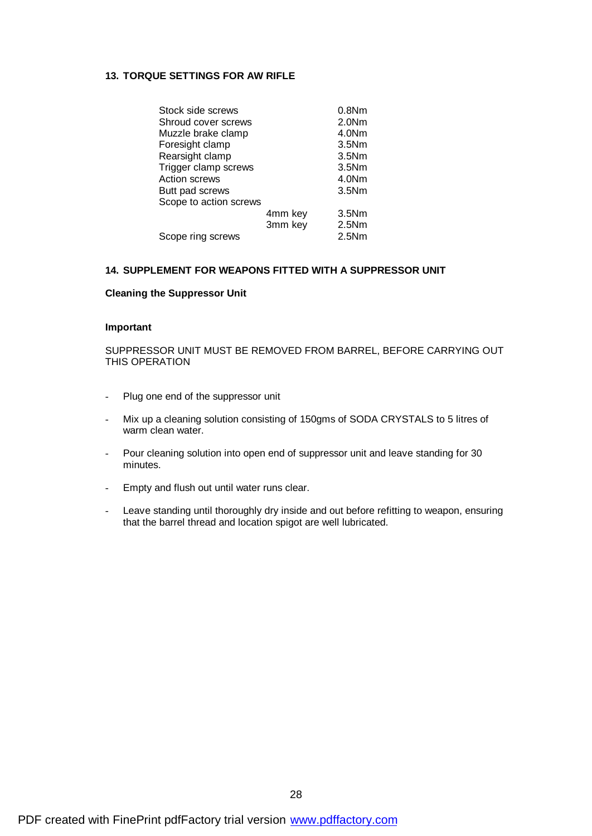#### **13. TORQUE SETTINGS FOR AW RIFLE**

| Stock side screws      |         | 0.8Nm             |
|------------------------|---------|-------------------|
| Shroud cover screws    |         | 2.0 <sub>Nm</sub> |
| Muzzle brake clamp     |         | 4.0 <sub>Nm</sub> |
| Foresight clamp        |         | 3.5Nm             |
| Rearsight clamp        |         | 3.5N <sub>m</sub> |
| Trigger clamp screws   |         | 3.5N <sub>m</sub> |
| <b>Action screws</b>   |         | 4.0 <sub>Nm</sub> |
| Butt pad screws        |         | 3.5N <sub>m</sub> |
| Scope to action screws |         |                   |
|                        | 4mm key | 3.5Nm             |
|                        | 3mm key | 2.5Nm             |
| Scope ring screws      |         | 2.5Nm             |
|                        |         |                   |

#### **14. SUPPLEMENT FOR WEAPONS FITTED WITH A SUPPRESSOR UNIT**

#### **Cleaning the Suppressor Unit**

#### **Important**

SUPPRESSOR UNIT MUST BE REMOVED FROM BARREL, BEFORE CARRYING OUT THIS OPERATION

- Plug one end of the suppressor unit
- Mix up a cleaning solution consisting of 150gms of SODA CRYSTALS to 5 litres of warm clean water.
- Pour cleaning solution into open end of suppressor unit and leave standing for 30 minutes.
- Empty and flush out until water runs clear.
- Leave standing until thoroughly dry inside and out before refitting to weapon, ensuring that the barrel thread and location spigot are well lubricated.